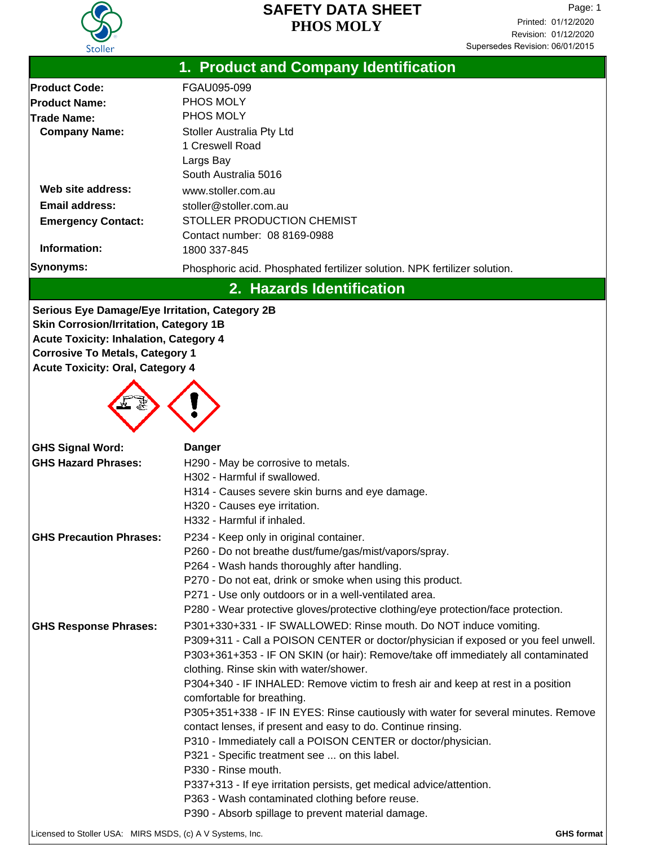

| 1. Product and Company Identification                 |                                                                                    |  |  |  |
|-------------------------------------------------------|------------------------------------------------------------------------------------|--|--|--|
| <b>Product Code:</b>                                  | FGAU095-099                                                                        |  |  |  |
| <b>Product Name:</b>                                  | PHOS MOLY                                                                          |  |  |  |
| <b>Trade Name:</b>                                    | PHOS MOLY                                                                          |  |  |  |
| <b>Company Name:</b>                                  | Stoller Australia Pty Ltd                                                          |  |  |  |
|                                                       | 1 Creswell Road                                                                    |  |  |  |
|                                                       | Largs Bay                                                                          |  |  |  |
|                                                       | South Australia 5016                                                               |  |  |  |
| Web site address:                                     | www.stoller.com.au                                                                 |  |  |  |
| <b>Email address:</b>                                 | stoller@stoller.com.au                                                             |  |  |  |
| <b>Emergency Contact:</b>                             | STOLLER PRODUCTION CHEMIST                                                         |  |  |  |
| Contact number: 08 8169-0988<br>Information:          |                                                                                    |  |  |  |
| <b>Synonyms:</b>                                      | 1800 337-845                                                                       |  |  |  |
|                                                       | Phosphoric acid. Phosphated fertilizer solution. NPK fertilizer solution.          |  |  |  |
|                                                       | 2. Hazards Identification                                                          |  |  |  |
| <b>Serious Eye Damage/Eye Irritation, Category 2B</b> |                                                                                    |  |  |  |
| <b>Skin Corrosion/Irritation, Category 1B</b>         |                                                                                    |  |  |  |
| <b>Acute Toxicity: Inhalation, Category 4</b>         |                                                                                    |  |  |  |
| <b>Corrosive To Metals, Category 1</b>                |                                                                                    |  |  |  |
| <b>Acute Toxicity: Oral, Category 4</b>               |                                                                                    |  |  |  |
|                                                       |                                                                                    |  |  |  |
|                                                       |                                                                                    |  |  |  |
|                                                       |                                                                                    |  |  |  |
|                                                       |                                                                                    |  |  |  |
| <b>GHS Signal Word:</b>                               | <b>Danger</b>                                                                      |  |  |  |
| <b>GHS Hazard Phrases:</b>                            | H290 - May be corrosive to metals.                                                 |  |  |  |
|                                                       | H302 - Harmful if swallowed.<br>H314 - Causes severe skin burns and eye damage.    |  |  |  |
|                                                       | H320 - Causes eye irritation.                                                      |  |  |  |
|                                                       | H332 - Harmful if inhaled.                                                         |  |  |  |
| <b>GHS Precaution Phrases:</b>                        | P234 - Keep only in original container.                                            |  |  |  |
|                                                       | P260 - Do not breathe dust/fume/gas/mist/vapors/spray.                             |  |  |  |
|                                                       | P264 - Wash hands thoroughly after handling.                                       |  |  |  |
|                                                       | P270 - Do not eat, drink or smoke when using this product.                         |  |  |  |
|                                                       | P271 - Use only outdoors or in a well-ventilated area.                             |  |  |  |
|                                                       | P280 - Wear protective gloves/protective clothing/eye protection/face protection.  |  |  |  |
| <b>GHS Response Phrases:</b>                          | P301+330+331 - IF SWALLOWED: Rinse mouth. Do NOT induce vomiting.                  |  |  |  |
|                                                       | P309+311 - Call a POISON CENTER or doctor/physician if exposed or you feel unwell. |  |  |  |
|                                                       | P303+361+353 - IF ON SKIN (or hair): Remove/take off immediately all contaminated  |  |  |  |
|                                                       | clothing. Rinse skin with water/shower.                                            |  |  |  |
|                                                       | P304+340 - IF INHALED: Remove victim to fresh air and keep at rest in a position   |  |  |  |
|                                                       | comfortable for breathing.                                                         |  |  |  |
|                                                       | P305+351+338 - IF IN EYES: Rinse cautiously with water for several minutes. Remove |  |  |  |
|                                                       | contact lenses, if present and easy to do. Continue rinsing.                       |  |  |  |
|                                                       | P310 - Immediately call a POISON CENTER or doctor/physician.                       |  |  |  |
|                                                       | P321 - Specific treatment see  on this label.<br>P330 - Rinse mouth.               |  |  |  |
|                                                       | P337+313 - If eye irritation persists, get medical advice/attention.               |  |  |  |
|                                                       | P363 - Wash contaminated clothing before reuse.                                    |  |  |  |
|                                                       | P390 - Absorb spillage to prevent material damage.                                 |  |  |  |
|                                                       |                                                                                    |  |  |  |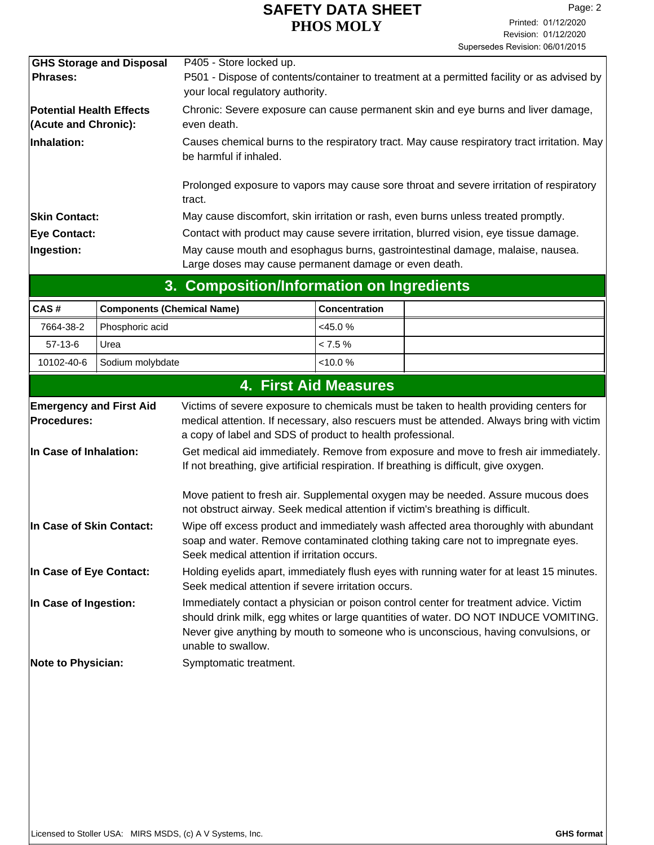|                                                         | 3. Composition/Information on Ingredients                                                                                                                 |
|---------------------------------------------------------|-----------------------------------------------------------------------------------------------------------------------------------------------------------|
| Ingestion:                                              | May cause mouth and esophagus burns, gastrointestinal damage, malaise, nausea.<br>Large doses may cause permanent damage or even death.                   |
| <b>Eye Contact:</b>                                     | Contact with product may cause severe irritation, blurred vision, eye tissue damage.                                                                      |
| <b>Skin Contact:</b>                                    | May cause discomfort, skin irritation or rash, even burns unless treated promptly.                                                                        |
|                                                         | Prolonged exposure to vapors may cause sore throat and severe irritation of respiratory<br>tract.                                                         |
| Inhalation:                                             | Causes chemical burns to the respiratory tract. May cause respiratory tract irritation. May<br>be harmful if inhaled.                                     |
| <b>Potential Health Effects</b><br>(Acute and Chronic): | Chronic: Severe exposure can cause permanent skin and eye burns and liver damage,<br>even death.                                                          |
| <b>GHS Storage and Disposal</b><br><b>Phrases:</b>      | P405 - Store locked up.<br>P501 - Dispose of contents/container to treatment at a permitted facility or as advised by<br>your local regulatory authority. |
|                                                         |                                                                                                                                                           |

| CAS#      | Components (Chemical Name)  | <b>Concentration</b> |  |
|-----------|-----------------------------|----------------------|--|
| 7664-38-2 | Phosphoric acid             | $<$ 45.0 %           |  |
| $57-13-6$ | Urea                        | $< 7.5\%$            |  |
|           | 10102-40-6 Sodium molybdate | $<10.0\%$            |  |

|                                                      | <b>4. First Aid Measures</b>                                                                                                                                                                                                                                                             |
|------------------------------------------------------|------------------------------------------------------------------------------------------------------------------------------------------------------------------------------------------------------------------------------------------------------------------------------------------|
| <b>Emergency and First Aid</b><br><b>Procedures:</b> | Victims of severe exposure to chemicals must be taken to health providing centers for<br>medical attention. If necessary, also rescuers must be attended. Always bring with victim<br>a copy of label and SDS of product to health professional.                                         |
| In Case of Inhalation:                               | Get medical aid immediately. Remove from exposure and move to fresh air immediately.<br>If not breathing, give artificial respiration. If breathing is difficult, give oxygen.                                                                                                           |
|                                                      | Move patient to fresh air. Supplemental oxygen may be needed. Assure mucous does<br>not obstruct airway. Seek medical attention if victim's breathing is difficult.                                                                                                                      |
| In Case of Skin Contact:                             | Wipe off excess product and immediately wash affected area thoroughly with abundant<br>soap and water. Remove contaminated clothing taking care not to impregnate eyes.<br>Seek medical attention if irritation occurs.                                                                  |
| In Case of Eye Contact:                              | Holding eyelids apart, immediately flush eyes with running water for at least 15 minutes.<br>Seek medical attention if severe irritation occurs.                                                                                                                                         |
| In Case of Ingestion:                                | Immediately contact a physician or poison control center for treatment advice. Victim<br>should drink milk, egg whites or large quantities of water. DO NOT INDUCE VOMITING.<br>Never give anything by mouth to someone who is unconscious, having convulsions, or<br>unable to swallow. |
| <b>Note to Physician:</b>                            | Symptomatic treatment.                                                                                                                                                                                                                                                                   |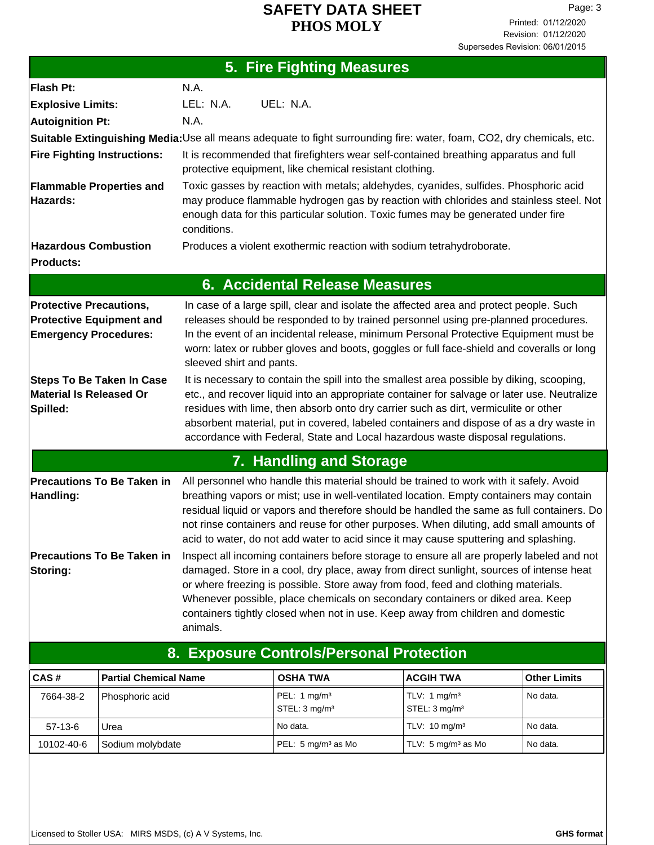| 5. Fire Fighting Measures                                                                         |                                                                                                                                                                                                                                                                                                                                                                                                                                                                  |  |  |  |
|---------------------------------------------------------------------------------------------------|------------------------------------------------------------------------------------------------------------------------------------------------------------------------------------------------------------------------------------------------------------------------------------------------------------------------------------------------------------------------------------------------------------------------------------------------------------------|--|--|--|
| Flash Pt:                                                                                         | N.A.                                                                                                                                                                                                                                                                                                                                                                                                                                                             |  |  |  |
| <b>Explosive Limits:</b>                                                                          | LEL: N.A.<br>UEL: N.A.                                                                                                                                                                                                                                                                                                                                                                                                                                           |  |  |  |
| <b>Autoignition Pt:</b>                                                                           | N.A.                                                                                                                                                                                                                                                                                                                                                                                                                                                             |  |  |  |
|                                                                                                   | Suitable Extinguishing Media:Use all means adequate to fight surrounding fire: water, foam, CO2, dry chemicals, etc.                                                                                                                                                                                                                                                                                                                                             |  |  |  |
| <b>Fire Fighting Instructions:</b>                                                                | It is recommended that firefighters wear self-contained breathing apparatus and full<br>protective equipment, like chemical resistant clothing.                                                                                                                                                                                                                                                                                                                  |  |  |  |
| <b>Flammable Properties and</b><br>Hazards:                                                       | Toxic gasses by reaction with metals; aldehydes, cyanides, sulfides. Phosphoric acid<br>may produce flammable hydrogen gas by reaction with chlorides and stainless steel. Not<br>enough data for this particular solution. Toxic fumes may be generated under fire<br>conditions.                                                                                                                                                                               |  |  |  |
| <b>Hazardous Combustion</b><br><b>Products:</b>                                                   | Produces a violent exothermic reaction with sodium tetrahydroborate.                                                                                                                                                                                                                                                                                                                                                                                             |  |  |  |
|                                                                                                   | <b>6. Accidental Release Measures</b>                                                                                                                                                                                                                                                                                                                                                                                                                            |  |  |  |
| <b>Protective Precautions,</b><br><b>Protective Equipment and</b><br><b>Emergency Procedures:</b> | In case of a large spill, clear and isolate the affected area and protect people. Such<br>releases should be responded to by trained personnel using pre-planned procedures.<br>In the event of an incidental release, minimum Personal Protective Equipment must be<br>worn: latex or rubber gloves and boots, goggles or full face-shield and coveralls or long<br>sleeved shirt and pants.                                                                    |  |  |  |
| <b>Steps To Be Taken In Case</b><br>Material Is Released Or<br>Spilled:                           | It is necessary to contain the spill into the smallest area possible by diking, scooping,<br>etc., and recover liquid into an appropriate container for salvage or later use. Neutralize<br>residues with lime, then absorb onto dry carrier such as dirt, vermiculite or other<br>absorbent material, put in covered, labeled containers and dispose of as a dry waste in<br>accordance with Federal, State and Local hazardous waste disposal regulations.     |  |  |  |
|                                                                                                   | 7. Handling and Storage                                                                                                                                                                                                                                                                                                                                                                                                                                          |  |  |  |
| <b>Precautions To Be Taken in</b><br>Handling:                                                    | All personnel who handle this material should be trained to work with it safely. Avoid<br>breathing vapors or mist; use in well-ventilated location. Empty containers may contain<br>residual liquid or vapors and therefore should be handled the same as full containers. Do<br>not rinse containers and reuse for other purposes. When diluting, add small amounts of<br>acid to water, do not add water to acid since it may cause sputtering and splashing. |  |  |  |
| <b>Precautions To Be Taken in</b><br>Storing:                                                     | Inspect all incoming containers before storage to ensure all are properly labeled and not<br>damaged. Store in a cool, dry place, away from direct sunlight, sources of intense heat<br>or where freezing is possible. Store away from food, feed and clothing materials.<br>Whenever possible, place chemicals on secondary containers or diked area. Keep<br>containers tightly closed when not in use. Keep away from children and domestic<br>animals.       |  |  |  |
|                                                                                                   | <b>8</b> Evnosure Controls/Personal Protection                                                                                                                                                                                                                                                                                                                                                                                                                   |  |  |  |

| CAS#       | <b>Partial Chemical Name</b> | <b>OSHA TWA</b>                             | <b>ACGIH TWA</b>                                      | <b>Other Limits</b> |
|------------|------------------------------|---------------------------------------------|-------------------------------------------------------|---------------------|
| 7664-38-2  | Phosphoric acid              | PEL: 1 $mg/m3$<br>STEL: 3 mg/m <sup>3</sup> | TLV: 1 mg/m <sup>3</sup><br>STEL: 3 mg/m <sup>3</sup> | No data.            |
| $57-13-6$  | Urea                         | No data.                                    | TLV: $10 \text{ mg/m}^3$                              | No data.            |
| 10102-40-6 | Sodium molybdate             | PEL: $5 \text{ mg/m}^3$ as Mo               | TLV: 5 mg/m <sup>3</sup> as Mo                        | No data.            |

## **8. Exposure Controls/Personal Protection**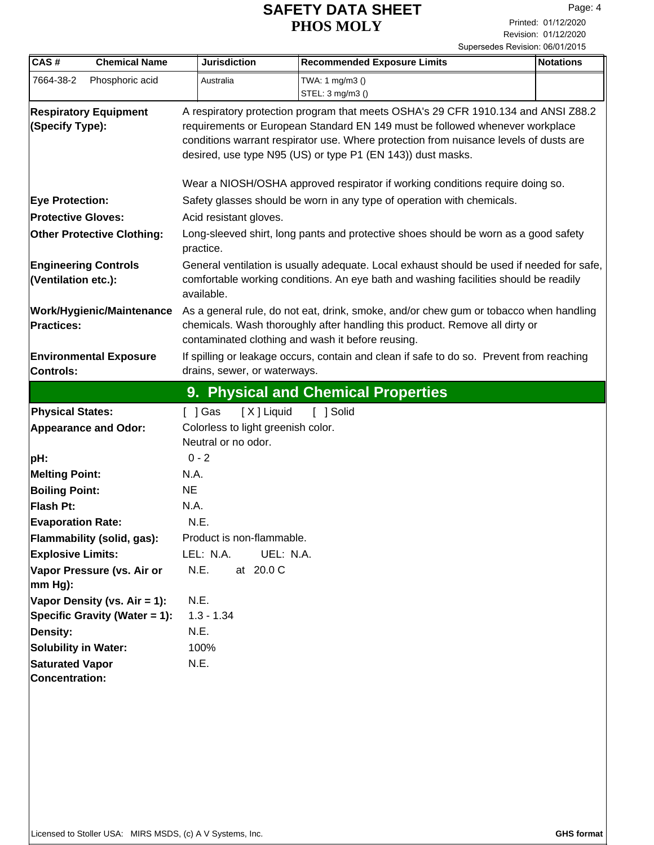| CAS#                                               | <b>Chemical Name</b>                 | <b>Jurisdiction</b>                                                                                                                                                                                                                                                                                                       | <b>Recommended Exposure Limits</b>                                     | <b>Notations</b> |  |
|----------------------------------------------------|--------------------------------------|---------------------------------------------------------------------------------------------------------------------------------------------------------------------------------------------------------------------------------------------------------------------------------------------------------------------------|------------------------------------------------------------------------|------------------|--|
| 7664-38-2                                          | Phosphoric acid                      | Australia                                                                                                                                                                                                                                                                                                                 | TWA: 1 mg/m3 ()                                                        |                  |  |
|                                                    |                                      |                                                                                                                                                                                                                                                                                                                           | STEL: 3 mg/m3 ()                                                       |                  |  |
| (Specify Type):                                    | <b>Respiratory Equipment</b>         | A respiratory protection program that meets OSHA's 29 CFR 1910.134 and ANSI Z88.2<br>requirements or European Standard EN 149 must be followed whenever workplace<br>conditions warrant respirator use. Where protection from nuisance levels of dusts are<br>desired, use type N95 (US) or type P1 (EN 143)) dust masks. |                                                                        |                  |  |
|                                                    |                                      | Wear a NIOSH/OSHA approved respirator if working conditions require doing so.                                                                                                                                                                                                                                             |                                                                        |                  |  |
| <b>Eye Protection:</b>                             |                                      |                                                                                                                                                                                                                                                                                                                           | Safety glasses should be worn in any type of operation with chemicals. |                  |  |
| <b>Protective Gloves:</b>                          |                                      | Acid resistant gloves.                                                                                                                                                                                                                                                                                                    |                                                                        |                  |  |
|                                                    | <b>Other Protective Clothing:</b>    | Long-sleeved shirt, long pants and protective shoes should be worn as a good safety<br>practice.                                                                                                                                                                                                                          |                                                                        |                  |  |
| <b>Engineering Controls</b><br>(Ventilation etc.): |                                      | General ventilation is usually adequate. Local exhaust should be used if needed for safe,<br>comfortable working conditions. An eye bath and washing facilities should be readily<br>available.                                                                                                                           |                                                                        |                  |  |
| <b>Practices:</b>                                  | <b>Work/Hygienic/Maintenance</b>     | As a general rule, do not eat, drink, smoke, and/or chew gum or tobacco when handling<br>chemicals. Wash thoroughly after handling this product. Remove all dirty or<br>contaminated clothing and wash it before reusing.                                                                                                 |                                                                        |                  |  |
| <b>Controls:</b>                                   | <b>Environmental Exposure</b>        | If spilling or leakage occurs, contain and clean if safe to do so. Prevent from reaching<br>drains, sewer, or waterways.                                                                                                                                                                                                  |                                                                        |                  |  |
|                                                    |                                      |                                                                                                                                                                                                                                                                                                                           | 9. Physical and Chemical Properties                                    |                  |  |
| <b>Physical States:</b>                            |                                      | [X] Liquid<br>$[ \ ]$ Gas                                                                                                                                                                                                                                                                                                 | [ ] Solid                                                              |                  |  |
|                                                    | <b>Appearance and Odor:</b>          | Colorless to light greenish color.                                                                                                                                                                                                                                                                                        |                                                                        |                  |  |
|                                                    |                                      | Neutral or no odor.                                                                                                                                                                                                                                                                                                       |                                                                        |                  |  |
| pH:                                                |                                      | $0 - 2$                                                                                                                                                                                                                                                                                                                   |                                                                        |                  |  |
| <b>Melting Point:</b>                              |                                      | N.A.                                                                                                                                                                                                                                                                                                                      |                                                                        |                  |  |
| <b>Boiling Point:</b>                              |                                      | <b>NE</b>                                                                                                                                                                                                                                                                                                                 |                                                                        |                  |  |
| Flash Pt:                                          |                                      | N.A.                                                                                                                                                                                                                                                                                                                      |                                                                        |                  |  |
| <b>Evaporation Rate:</b>                           |                                      | N.E.                                                                                                                                                                                                                                                                                                                      |                                                                        |                  |  |
|                                                    | Flammability (solid, gas):           | Product is non-flammable.                                                                                                                                                                                                                                                                                                 |                                                                        |                  |  |
| <b>Explosive Limits:</b>                           |                                      | UEL: N.A.<br>LEL: N.A.                                                                                                                                                                                                                                                                                                    |                                                                        |                  |  |
| mm Hg):                                            | Vapor Pressure (vs. Air or           | N.E.<br>at 20.0 C                                                                                                                                                                                                                                                                                                         |                                                                        |                  |  |
|                                                    | Vapor Density (vs. Air = 1):         | N.E.                                                                                                                                                                                                                                                                                                                      |                                                                        |                  |  |
|                                                    | <b>Specific Gravity (Water = 1):</b> | $1.3 - 1.34$                                                                                                                                                                                                                                                                                                              |                                                                        |                  |  |
| <b>Density:</b>                                    |                                      | N.E.                                                                                                                                                                                                                                                                                                                      |                                                                        |                  |  |
| <b>Solubility in Water:</b>                        |                                      | 100%                                                                                                                                                                                                                                                                                                                      |                                                                        |                  |  |
| <b>Saturated Vapor</b>                             |                                      | N.E.                                                                                                                                                                                                                                                                                                                      |                                                                        |                  |  |
| Concentration:                                     |                                      |                                                                                                                                                                                                                                                                                                                           |                                                                        |                  |  |
|                                                    |                                      |                                                                                                                                                                                                                                                                                                                           |                                                                        |                  |  |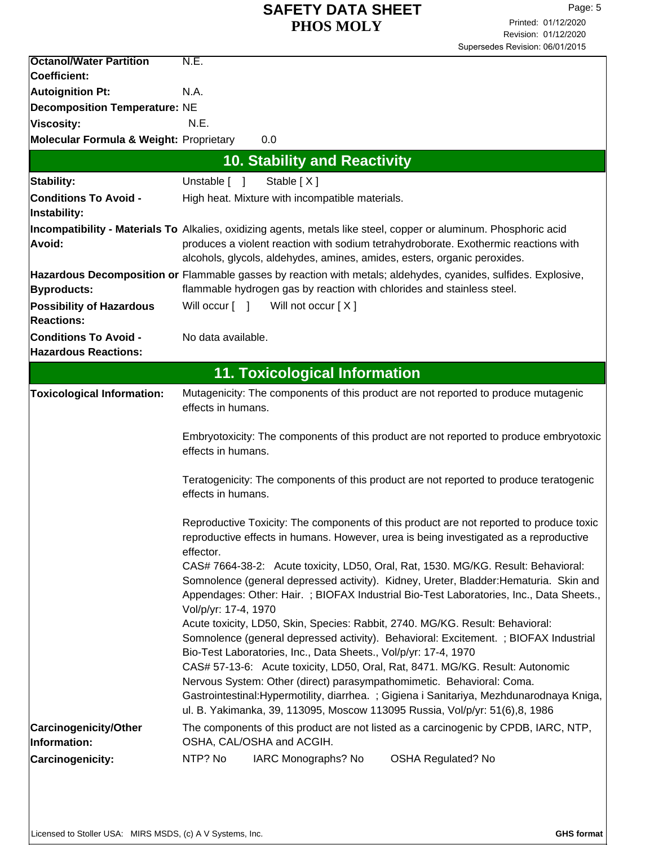| <b>Octanol/Water Partition</b>                       | N.E.                                                                                                                                                                                                                                                                                                                      |  |  |  |
|------------------------------------------------------|---------------------------------------------------------------------------------------------------------------------------------------------------------------------------------------------------------------------------------------------------------------------------------------------------------------------------|--|--|--|
| Coefficient:                                         |                                                                                                                                                                                                                                                                                                                           |  |  |  |
| <b>Autoignition Pt:</b>                              | N.A.                                                                                                                                                                                                                                                                                                                      |  |  |  |
| <b>Decomposition Temperature: NE</b>                 |                                                                                                                                                                                                                                                                                                                           |  |  |  |
| <b>Viscosity:</b>                                    | N.E.                                                                                                                                                                                                                                                                                                                      |  |  |  |
| Molecular Formula & Weight: Proprietary              | 0.0                                                                                                                                                                                                                                                                                                                       |  |  |  |
|                                                      | <b>10. Stability and Reactivity</b>                                                                                                                                                                                                                                                                                       |  |  |  |
| Stability:                                           | Unstable [ ]<br>Stable [X]                                                                                                                                                                                                                                                                                                |  |  |  |
| <b>Conditions To Avoid -</b>                         | High heat. Mixture with incompatible materials.                                                                                                                                                                                                                                                                           |  |  |  |
| Instability:                                         |                                                                                                                                                                                                                                                                                                                           |  |  |  |
| Avoid:                                               | Incompatibility - Materials To Alkalies, oxidizing agents, metals like steel, copper or aluminum. Phosphoric acid<br>produces a violent reaction with sodium tetrahydroborate. Exothermic reactions with<br>alcohols, glycols, aldehydes, amines, amides, esters, organic peroxides.                                      |  |  |  |
|                                                      | Hazardous Decomposition or Flammable gasses by reaction with metals; aldehydes, cyanides, sulfides. Explosive,                                                                                                                                                                                                            |  |  |  |
| <b>Byproducts:</b>                                   | flammable hydrogen gas by reaction with chlorides and stainless steel.                                                                                                                                                                                                                                                    |  |  |  |
| <b>Possibility of Hazardous</b><br><b>Reactions:</b> | Will occur [ ]<br>Will not occur [X]                                                                                                                                                                                                                                                                                      |  |  |  |
| <b>Conditions To Avoid -</b>                         | No data available.                                                                                                                                                                                                                                                                                                        |  |  |  |
| <b>Hazardous Reactions:</b>                          |                                                                                                                                                                                                                                                                                                                           |  |  |  |
|                                                      | <b>11. Toxicological Information</b>                                                                                                                                                                                                                                                                                      |  |  |  |
|                                                      |                                                                                                                                                                                                                                                                                                                           |  |  |  |
| <b>Toxicological Information:</b>                    | Mutagenicity: The components of this product are not reported to produce mutagenic<br>effects in humans.                                                                                                                                                                                                                  |  |  |  |
|                                                      | Embryotoxicity: The components of this product are not reported to produce embryotoxic<br>effects in humans.                                                                                                                                                                                                              |  |  |  |
|                                                      | Teratogenicity: The components of this product are not reported to produce teratogenic<br>effects in humans.                                                                                                                                                                                                              |  |  |  |
|                                                      | Reproductive Toxicity: The components of this product are not reported to produce toxic<br>reproductive effects in humans. However, urea is being investigated as a reproductive<br>effector.                                                                                                                             |  |  |  |
|                                                      | CAS# 7664-38-2: Acute toxicity, LD50, Oral, Rat, 1530. MG/KG. Result: Behavioral:<br>Somnolence (general depressed activity). Kidney, Ureter, Bladder: Hematuria. Skin and<br>Appendages: Other: Hair.; BIOFAX Industrial Bio-Test Laboratories, Inc., Data Sheets.,<br>Vol/p/yr: 17-4, 1970                              |  |  |  |
|                                                      | Acute toxicity, LD50, Skin, Species: Rabbit, 2740. MG/KG. Result: Behavioral:<br>Somnolence (general depressed activity). Behavioral: Excitement. ; BIOFAX Industrial<br>Bio-Test Laboratories, Inc., Data Sheets., Vol/p/yr: 17-4, 1970<br>CAS# 57-13-6: Acute toxicity, LD50, Oral, Rat, 8471. MG/KG. Result: Autonomic |  |  |  |
|                                                      | Nervous System: Other (direct) parasympathomimetic. Behavioral: Coma.<br>Gastrointestinal: Hypermotility, diarrhea. ; Gigiena i Sanitariya, Mezhdunarodnaya Kniga,<br>ul. B. Yakimanka, 39, 113095, Moscow 113095 Russia, Vol/p/yr: 51(6),8, 1986                                                                         |  |  |  |
| <b>Carcinogenicity/Other</b><br>Information:         | The components of this product are not listed as a carcinogenic by CPDB, IARC, NTP,<br>OSHA, CAL/OSHA and ACGIH.                                                                                                                                                                                                          |  |  |  |
| <b>Carcinogenicity:</b>                              | NTP? No<br>IARC Monographs? No<br><b>OSHA Regulated? No</b>                                                                                                                                                                                                                                                               |  |  |  |
|                                                      |                                                                                                                                                                                                                                                                                                                           |  |  |  |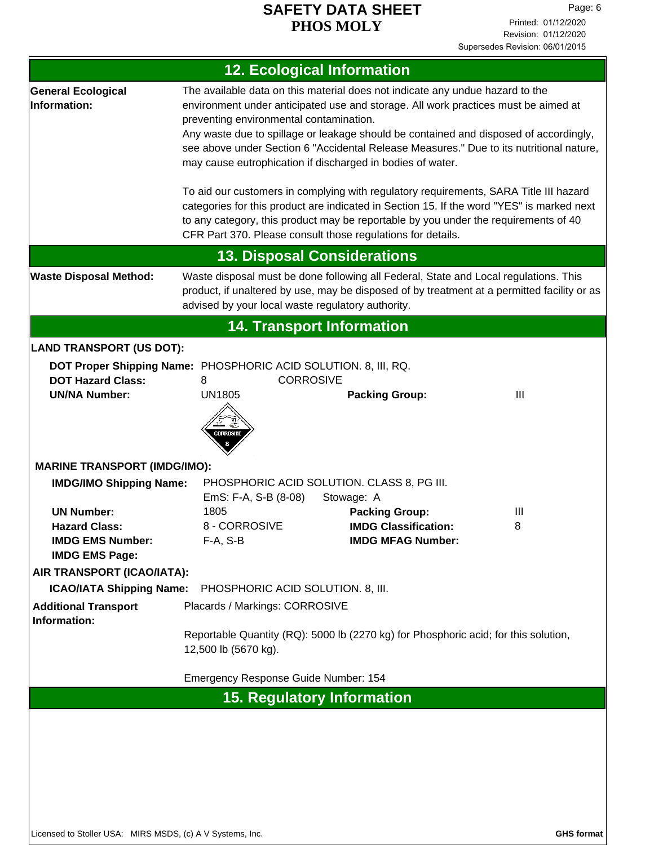| <b>12. Ecological Information</b>                                                                                                                                                                                                                                         |                                                                                                                                                                                                                                                                                                                                                                                                                                                                                                                                                                                                                                                                                                                                               |                                                                                                |        |  |
|---------------------------------------------------------------------------------------------------------------------------------------------------------------------------------------------------------------------------------------------------------------------------|-----------------------------------------------------------------------------------------------------------------------------------------------------------------------------------------------------------------------------------------------------------------------------------------------------------------------------------------------------------------------------------------------------------------------------------------------------------------------------------------------------------------------------------------------------------------------------------------------------------------------------------------------------------------------------------------------------------------------------------------------|------------------------------------------------------------------------------------------------|--------|--|
| <b>General Ecological</b><br>Information:                                                                                                                                                                                                                                 | The available data on this material does not indicate any undue hazard to the<br>environment under anticipated use and storage. All work practices must be aimed at<br>preventing environmental contamination.<br>Any waste due to spillage or leakage should be contained and disposed of accordingly,<br>see above under Section 6 "Accidental Release Measures." Due to its nutritional nature,<br>may cause eutrophication if discharged in bodies of water.<br>To aid our customers in complying with regulatory requirements, SARA Title III hazard<br>categories for this product are indicated in Section 15. If the word "YES" is marked next<br>to any category, this product may be reportable by you under the requirements of 40 |                                                                                                |        |  |
|                                                                                                                                                                                                                                                                           |                                                                                                                                                                                                                                                                                                                                                                                                                                                                                                                                                                                                                                                                                                                                               | CFR Part 370. Please consult those regulations for details.                                    |        |  |
|                                                                                                                                                                                                                                                                           |                                                                                                                                                                                                                                                                                                                                                                                                                                                                                                                                                                                                                                                                                                                                               | <b>13. Disposal Considerations</b>                                                             |        |  |
| Waste disposal must be done following all Federal, State and Local regulations. This<br><b>Waste Disposal Method:</b><br>product, if unaltered by use, may be disposed of by treatment at a permitted facility or as<br>advised by your local waste regulatory authority. |                                                                                                                                                                                                                                                                                                                                                                                                                                                                                                                                                                                                                                                                                                                                               |                                                                                                |        |  |
|                                                                                                                                                                                                                                                                           |                                                                                                                                                                                                                                                                                                                                                                                                                                                                                                                                                                                                                                                                                                                                               | <b>14. Transport Information</b>                                                               |        |  |
| <b>LAND TRANSPORT (US DOT):</b>                                                                                                                                                                                                                                           |                                                                                                                                                                                                                                                                                                                                                                                                                                                                                                                                                                                                                                                                                                                                               |                                                                                                |        |  |
| <b>DOT Hazard Class:</b><br><b>UN/NA Number:</b>                                                                                                                                                                                                                          | DOT Proper Shipping Name: PHOSPHORIC ACID SOLUTION. 8, III, RQ.<br><b>CORROSIVE</b><br>8<br><b>UN1805</b><br>CORROSIVI                                                                                                                                                                                                                                                                                                                                                                                                                                                                                                                                                                                                                        | <b>Packing Group:</b>                                                                          | III    |  |
| <b>MARINE TRANSPORT (IMDG/IMO):</b><br><b>IMDG/IMO Shipping Name:</b>                                                                                                                                                                                                     |                                                                                                                                                                                                                                                                                                                                                                                                                                                                                                                                                                                                                                                                                                                                               | PHOSPHORIC ACID SOLUTION. CLASS 8, PG III.                                                     |        |  |
| <b>UN Number:</b><br><b>Hazard Class:</b><br><b>IMDG EMS Number:</b><br><b>IMDG EMS Page:</b>                                                                                                                                                                             | EmS: F-A, S-B (8-08)<br>1805<br>8 - CORROSIVE<br>$F-A, S-B$                                                                                                                                                                                                                                                                                                                                                                                                                                                                                                                                                                                                                                                                                   | Stowage: A<br><b>Packing Group:</b><br><b>IMDG Classification:</b><br><b>IMDG MFAG Number:</b> | Ш<br>8 |  |
| AIR TRANSPORT (ICAO/IATA):                                                                                                                                                                                                                                                |                                                                                                                                                                                                                                                                                                                                                                                                                                                                                                                                                                                                                                                                                                                                               |                                                                                                |        |  |
| <b>ICAO/IATA Shipping Name:</b>                                                                                                                                                                                                                                           | PHOSPHORIC ACID SOLUTION. 8, III.                                                                                                                                                                                                                                                                                                                                                                                                                                                                                                                                                                                                                                                                                                             |                                                                                                |        |  |
| <b>Additional Transport</b><br>Information:                                                                                                                                                                                                                               | Placards / Markings: CORROSIVE<br>Reportable Quantity (RQ): 5000 lb (2270 kg) for Phosphoric acid; for this solution,<br>12,500 lb (5670 kg).                                                                                                                                                                                                                                                                                                                                                                                                                                                                                                                                                                                                 |                                                                                                |        |  |
| Emergency Response Guide Number: 154                                                                                                                                                                                                                                      |                                                                                                                                                                                                                                                                                                                                                                                                                                                                                                                                                                                                                                                                                                                                               |                                                                                                |        |  |
| <b>15. Regulatory Information</b>                                                                                                                                                                                                                                         |                                                                                                                                                                                                                                                                                                                                                                                                                                                                                                                                                                                                                                                                                                                                               |                                                                                                |        |  |
|                                                                                                                                                                                                                                                                           |                                                                                                                                                                                                                                                                                                                                                                                                                                                                                                                                                                                                                                                                                                                                               |                                                                                                |        |  |